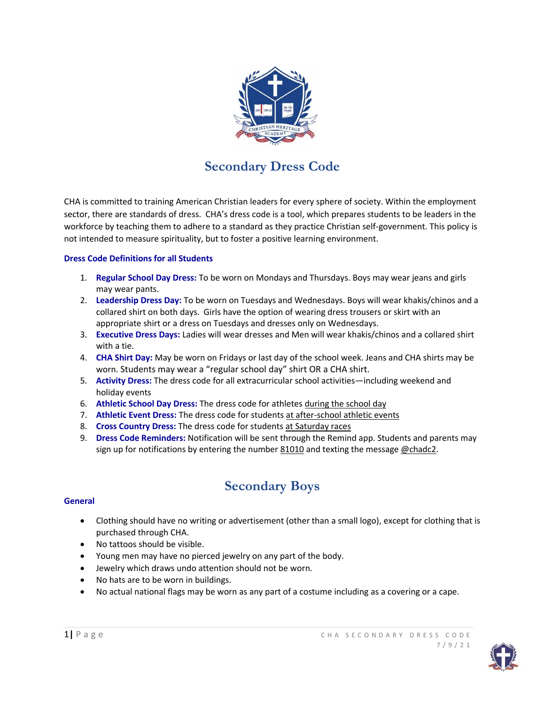

# **Secondary Dress Code**

CHA is committed to training American Christian leaders for every sphere of society. Within the employment sector, there are standards of dress. CHA's dress code is a tool, which prepares students to be leaders in the workforce by teaching them to adhere to a standard as they practice Christian self-government. This policy is not intended to measure spirituality, but to foster a positive learning environment.

# **Dress Code Definitions for all Students**

- 1. **Regular School Day Dress:** To be worn on Mondays and Thursdays. Boys may wear jeans and girls may wear pants.
- 2. **Leadership Dress Day:** To be worn on Tuesdays and Wednesdays. Boys will wear khakis/chinos and a collared shirt on both days. Girls have the option of wearing dress trousers or skirt with an appropriate shirt or a dress on Tuesdays and dresses only on Wednesdays.
- 3. **Executive Dress Days:** Ladies will wear dresses and Men will wear khakis/chinos and a collared shirt with a tie.
- 4. **CHA Shirt Day:** May be worn on Fridays or last day of the school week. Jeans and CHA shirts may be worn. Students may wear a "regular school day" shirt OR a CHA shirt.
- 5. **Activity Dress:** The dress code for all extracurricular school activities—including weekend and holiday events
- 6. **Athletic School Day Dress:** The dress code for athletes during the school day
- 7. **Athletic Event Dress:** The dress code for students at after-school athletic events
- 8. **Cross Country Dress:** The dress code for students at Saturday races
- 9. **Dress Code Reminders:** Notification will be sent through the Remind app. Students and parents may sign up for notifications by entering the number 81010 and texting the message @chadc2.

# **Secondary Boys**

# **General**

- Clothing should have no writing or advertisement (other than a small logo), except for clothing that is purchased through CHA.
- No tattoos should be visible.
- Young men may have no pierced jewelry on any part of the body.
- Jewelry which draws undo attention should not be worn.
- No hats are to be worn in buildings.
- No actual national flags may be worn as any part of a costume including as a covering or a cape.

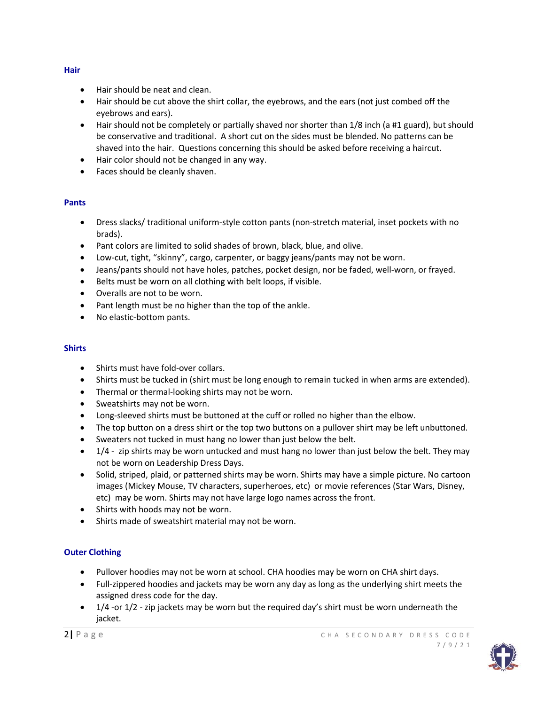# • Hair should be neat and clean.

- Hair should be cut above the shirt collar, the eyebrows, and the ears (not just combed off the eyebrows and ears).
- Hair should not be completely or partially shaved nor shorter than 1/8 inch (a #1 guard), but should be conservative and traditional. A short cut on the sides must be blended. No patterns can be shaved into the hair. Questions concerning this should be asked before receiving a haircut.
- Hair color should not be changed in any way.
- Faces should be cleanly shaven.

# **Pants**

- Dress slacks/ traditional uniform-style cotton pants (non-stretch material, inset pockets with no brads).
- Pant colors are limited to solid shades of brown, black, blue, and olive.
- Low-cut, tight, "skinny", cargo, carpenter, or baggy jeans/pants may not be worn.
- Jeans/pants should not have holes, patches, pocket design, nor be faded, well-worn, or frayed.
- Belts must be worn on all clothing with belt loops, if visible.
- Overalls are not to be worn.
- Pant length must be no higher than the top of the ankle.
- No elastic-bottom pants.

# **Shirts**

- Shirts must have fold-over collars.
- Shirts must be tucked in (shirt must be long enough to remain tucked in when arms are extended).
- Thermal or thermal-looking shirts may not be worn.
- Sweatshirts may not be worn.
- Long-sleeved shirts must be buttoned at the cuff or rolled no higher than the elbow.
- The top button on a dress shirt or the top two buttons on a pullover shirt may be left unbuttoned.
- Sweaters not tucked in must hang no lower than just below the belt.
- $\bullet$  1/4 zip shirts may be worn untucked and must hang no lower than just below the belt. They may not be worn on Leadership Dress Days.
- Solid, striped, plaid, or patterned shirts may be worn. Shirts may have a simple picture. No cartoon images (Mickey Mouse, TV characters, superheroes, etc) or movie references (Star Wars, Disney, etc) may be worn. Shirts may not have large logo names across the front.
- Shirts with hoods may not be worn.
- Shirts made of sweatshirt material may not be worn.

# **Outer Clothing**

- Pullover hoodies may not be worn at school. CHA hoodies may be worn on CHA shirt days.
- Full-zippered hoodies and jackets may be worn any day as long as the underlying shirt meets the assigned dress code for the day.
- $\bullet$  1/4 -or 1/2 zip jackets may be worn but the required day's shirt must be worn underneath the jacket.



#### **Hair**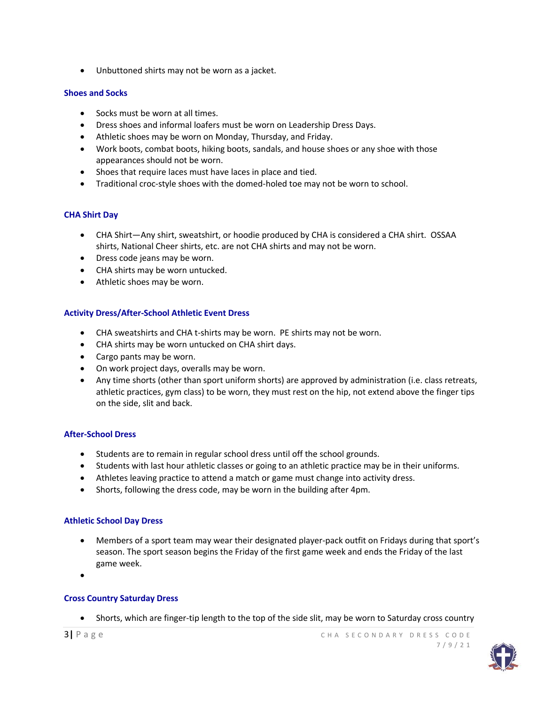Unbuttoned shirts may not be worn as a jacket.

# **Shoes and Socks**

- Socks must be worn at all times.
- Dress shoes and informal loafers must be worn on Leadership Dress Days.
- Athletic shoes may be worn on Monday, Thursday, and Friday.
- Work boots, combat boots, hiking boots, sandals, and house shoes or any shoe with those appearances should not be worn.
- Shoes that require laces must have laces in place and tied.
- Traditional croc-style shoes with the domed-holed toe may not be worn to school.

# **CHA Shirt Day**

- CHA Shirt—Any shirt, sweatshirt, or hoodie produced by CHA is considered a CHA shirt. OSSAA shirts, National Cheer shirts, etc. are not CHA shirts and may not be worn.
- Dress code jeans may be worn.
- CHA shirts may be worn untucked.
- Athletic shoes may be worn.

# **Activity Dress/After-School Athletic Event Dress**

- CHA sweatshirts and CHA t-shirts may be worn. PE shirts may not be worn.
- CHA shirts may be worn untucked on CHA shirt days.
- Cargo pants may be worn.
- On work project days, overalls may be worn.
- Any time shorts (other than sport uniform shorts) are approved by administration (i.e. class retreats, athletic practices, gym class) to be worn, they must rest on the hip, not extend above the finger tips on the side, slit and back.

# **After-School Dress**

- Students are to remain in regular school dress until off the school grounds.
- Students with last hour athletic classes or going to an athletic practice may be in their uniforms.
- Athletes leaving practice to attend a match or game must change into activity dress.
- Shorts, following the dress code, may be worn in the building after 4pm.

# **Athletic School Day Dress**

- Members of a sport team may wear their designated player-pack outfit on Fridays during that sport's season. The sport season begins the Friday of the first game week and ends the Friday of the last game week.
- $\bullet$

# **Cross Country Saturday Dress**

Shorts, which are finger-tip length to the top of the side slit, may be worn to Saturday cross country

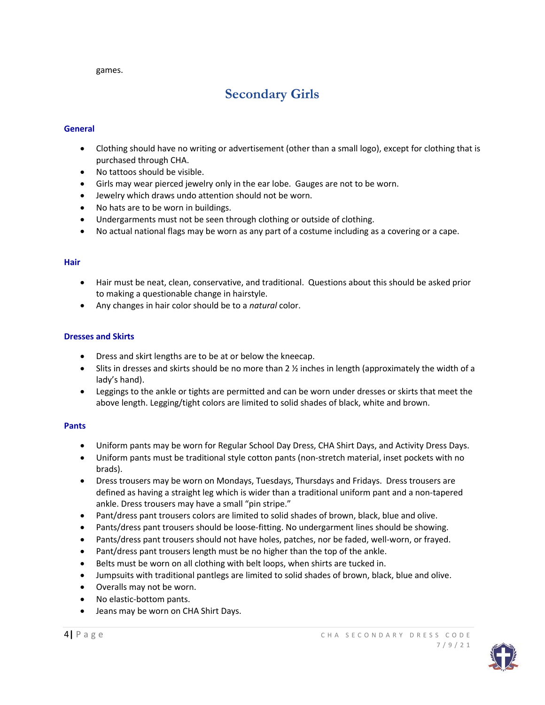games.

# **Secondary Girls**

# **General**

- Clothing should have no writing or advertisement (other than a small logo), except for clothing that is purchased through CHA.
- No tattoos should be visible.
- Girls may wear pierced jewelry only in the ear lobe. Gauges are not to be worn.
- Jewelry which draws undo attention should not be worn.
- No hats are to be worn in buildings.
- Undergarments must not be seen through clothing or outside of clothing.
- No actual national flags may be worn as any part of a costume including as a covering or a cape.

# **Hair**

- Hair must be neat, clean, conservative, and traditional. Questions about this should be asked prior to making a questionable change in hairstyle.
- Any changes in hair color should be to a *natural* color.

# **Dresses and Skirts**

- Dress and skirt lengths are to be at or below the kneecap.
- $\bullet$  Slits in dresses and skirts should be no more than 2  $\frac{1}{2}$  inches in length (approximately the width of a lady's hand).
- Leggings to the ankle or tights are permitted and can be worn under dresses or skirts that meet the above length. Legging/tight colors are limited to solid shades of black, white and brown.

# **Pants**

- Uniform pants may be worn for Regular School Day Dress, CHA Shirt Days, and Activity Dress Days.
- Uniform pants must be traditional style cotton pants (non-stretch material, inset pockets with no brads).
- Dress trousers may be worn on Mondays, Tuesdays, Thursdays and Fridays. Dress trousers are defined as having a straight leg which is wider than a traditional uniform pant and a non-tapered ankle. Dress trousers may have a small "pin stripe."
- Pant/dress pant trousers colors are limited to solid shades of brown, black, blue and olive.
- Pants/dress pant trousers should be loose-fitting. No undergarment lines should be showing.
- Pants/dress pant trousers should not have holes, patches, nor be faded, well-worn, or frayed.
- Pant/dress pant trousers length must be no higher than the top of the ankle.
- Belts must be worn on all clothing with belt loops, when shirts are tucked in.
- Jumpsuits with traditional pantlegs are limited to solid shades of brown, black, blue and olive.
- Overalls may not be worn.
- No elastic-bottom pants.
- Jeans may be worn on CHA Shirt Days.

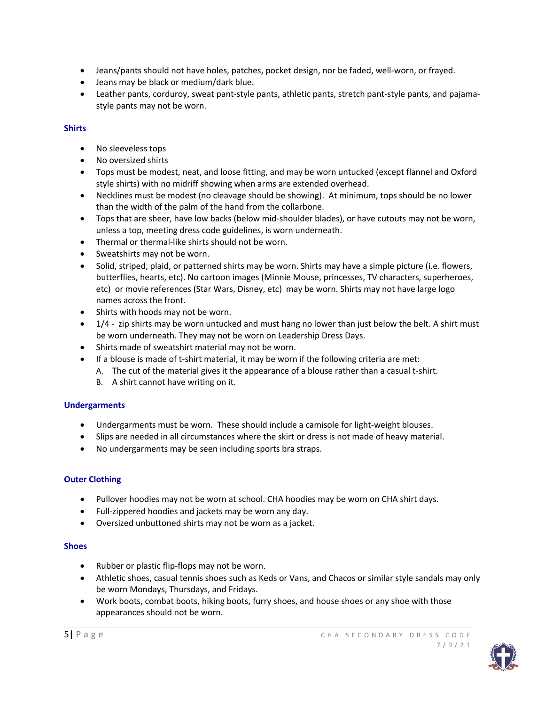- Jeans/pants should not have holes, patches, pocket design, nor be faded, well-worn, or frayed.
- Jeans may be black or medium/dark blue.
- Leather pants, corduroy, sweat pant-style pants, athletic pants, stretch pant-style pants, and pajamastyle pants may not be worn.

# **Shirts**

- No sleeveless tops
- No oversized shirts
- Tops must be modest, neat, and loose fitting, and may be worn untucked (except flannel and Oxford style shirts) with no midriff showing when arms are extended overhead.
- Necklines must be modest (no cleavage should be showing). At minimum, tops should be no lower than the width of the palm of the hand from the collarbone.
- Tops that are sheer, have low backs (below mid-shoulder blades), or have cutouts may not be worn, unless a top, meeting dress code guidelines, is worn underneath.
- Thermal or thermal-like shirts should not be worn.
- Sweatshirts may not be worn.
- Solid, striped, plaid, or patterned shirts may be worn. Shirts may have a simple picture (i.e. flowers, butterflies, hearts, etc). No cartoon images (Minnie Mouse, princesses, TV characters, superheroes, etc) or movie references (Star Wars, Disney, etc) may be worn. Shirts may not have large logo names across the front.
- Shirts with hoods may not be worn.
- $\bullet$  1/4 zip shirts may be worn untucked and must hang no lower than just below the belt. A shirt must be worn underneath. They may not be worn on Leadership Dress Days.
- Shirts made of sweatshirt material may not be worn.
- If a blouse is made of t-shirt material, it may be worn if the following criteria are met:
	- A. The cut of the material gives it the appearance of a blouse rather than a casual t-shirt.
	- B. A shirt cannot have writing on it.

# **Undergarments**

- Undergarments must be worn. These should include a camisole for light-weight blouses.
- Slips are needed in all circumstances where the skirt or dress is not made of heavy material.
- No undergarments may be seen including sports bra straps.

# **Outer Clothing**

- Pullover hoodies may not be worn at school. CHA hoodies may be worn on CHA shirt days.
- Full-zippered hoodies and jackets may be worn any day.
- Oversized unbuttoned shirts may not be worn as a jacket.

# **Shoes**

- Rubber or plastic flip-flops may not be worn.
- Athletic shoes, casual tennis shoes such as Keds or Vans, and Chacos or similar style sandals may only be worn Mondays, Thursdays, and Fridays.
- Work boots, combat boots, hiking boots, furry shoes, and house shoes or any shoe with those appearances should not be worn.